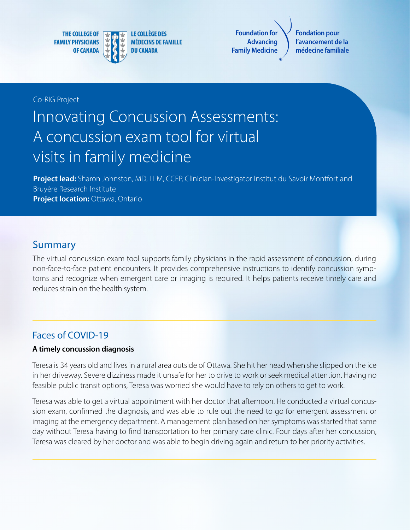**THE COLLEGE OF FAMILY PHYSICIANS OF CANADA** 



**LE COLLÈGE DES MÉDECINS DE FAMILLE DU CANADA** 

**Foundation for Advancing Family Medicine**

**Fondation pour l'avancement de la médecine familiale**

Co-RIG Project

# Innovating Concussion Assessments: A concussion exam tool for virtual visits in family medicine

**Project lead:** Sharon Johnston, MD, LLM, CCFP, Clinician-Investigator Institut du Savoir Montfort and Bruyère Research Institute **Project location: Ottawa, Ontario** 

#### **Summary**

The virtual concussion exam tool supports family physicians in the rapid assessment of concussion, during non-face-to-face patient encounters. It provides comprehensive instructions to identify concussion symptoms and recognize when emergent care or imaging is required. It helps patients receive timely care and reduces strain on the health system.

#### Faces of COVID-19

#### **A timely concussion diagnosis**

Teresa is 34 years old and lives in a rural area outside of Ottawa. She hit her head when she slipped on the ice in her driveway. Severe dizziness made it unsafe for her to drive to work or seek medical attention. Having no feasible public transit options, Teresa was worried she would have to rely on others to get to work.

Teresa was able to get a virtual appointment with her doctor that afternoon. He conducted a virtual concussion exam, confirmed the diagnosis, and was able to rule out the need to go for emergent assessment or imaging at the emergency department. A management plan based on her symptoms was started that same day without Teresa having to find transportation to her primary care clinic. Four days after her concussion, Teresa was cleared by her doctor and was able to begin driving again and return to her priority activities.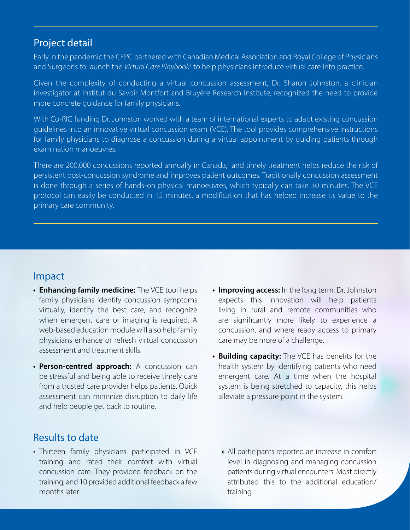#### Project detail

Early in the pandemic the CFPC partnered with Canadian Medical Association and Royal College of Physicians and Surgeons to launch the Virtual Care Playbook<sup>1</sup> to help physicians introduce virtual care into practice.

Given the complexity of conducting a virtual concussion assessment, Dr. Sharon Johnston, a clinician investigator at Institut du Savoir Montfort and Bruyère Research Institute, recognized the need to provide more concrete guidance for family physicians.

With Co-RIG funding Dr. Johnston worked with a team of international experts to adapt existing concussion guidelines into an innovative virtual concussion exam (VCE). The tool provides comprehensive instructions for family physicians to diagnose a concussion during a virtual appointment by guiding patients through examination manoeuvres.

There are 200,000 concussions reported annually in Canada,<sup>2</sup> and timely treatment helps reduce the risk of persistent post-concussion syndrome and improves patient outcomes. Traditionally concussion assessment is done through a series of hands-on physical manoeuvres, which typically can take 30 minutes. The VCE protocol can easily be conducted in 15 minutes, a modification that has helped increase its value to the primary care community.

#### Impact

- **• Enhancing family medicine:** The VCE tool helps family physicians identify concussion symptoms virtually, identify the best care, and recognize when emergent care or imaging is required. A web-based education module will also help family physicians enhance or refresh virtual concussion assessment and treatment skills.
- **• Person-centred approach:** A concussion can be stressful and being able to receive timely care from a trusted care provider helps patients. Quick assessment can minimize disruption to daily life and help people get back to routine.
- **• Improving access:** In the long term, Dr. Johnston expects this innovation will help patients living in rural and remote communities who are significantly more likely to experience a concussion, and where ready access to primary care may be more of a challenge.
- **• Building capacity:** The VCE has benefits for the health system by identifying patients who need emergent care. At a time when the hospital system is being stretched to capacity, this helps alleviate a pressure point in the system.

## Results to date

- Thirteen family physicians participated in VCE training and rated their comfort with virtual concussion care. They provided feedback on the training, and 10 provided additional feedback a few months later:
- » All participants reported an increase in comfort level in diagnosing and managing concussion patients during virtual encounters. Most directly attributed this to the additional education/ training.